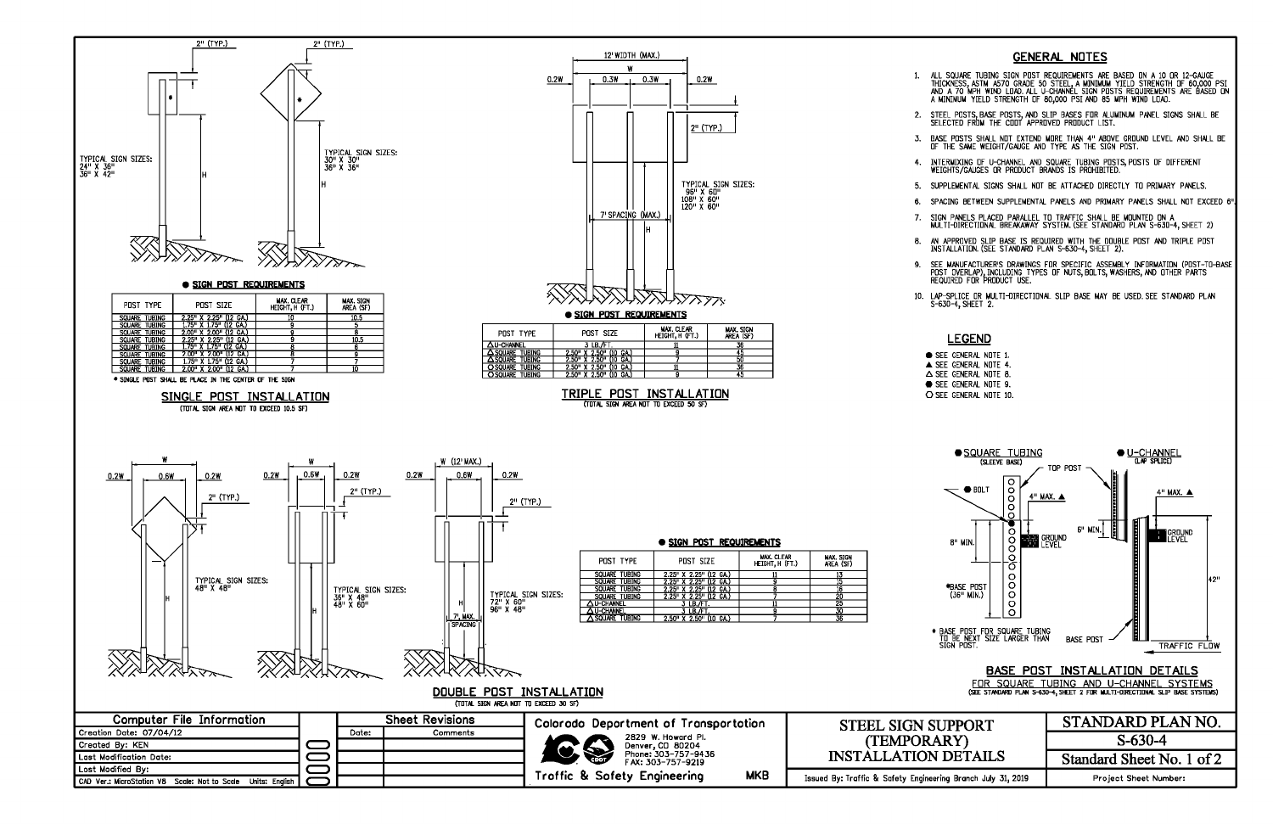